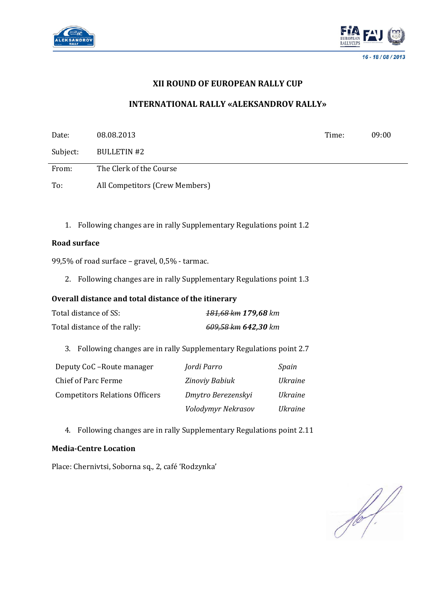



# **XII ROUND OF EUROPEAN RALLY CUP**

# **INTERNATIONAL RALLY «ALEKSANDROV RALLY»**

| Date:                                 | 08.08.2013                                           |                                                                       |                | Time: | 09:00 |
|---------------------------------------|------------------------------------------------------|-----------------------------------------------------------------------|----------------|-------|-------|
| Subject:                              | <b>BULLETIN#2</b>                                    |                                                                       |                |       |       |
| From:                                 | The Clerk of the Course                              |                                                                       |                |       |       |
| To:                                   | All Competitors (Crew Members)                       |                                                                       |                |       |       |
| 1.                                    |                                                      | Following changes are in rally Supplementary Regulations point 1.2    |                |       |       |
| <b>Road surface</b>                   |                                                      |                                                                       |                |       |       |
|                                       | 99,5% of road surface - gravel, 0,5% - tarmac.       |                                                                       |                |       |       |
|                                       |                                                      | 2. Following changes are in rally Supplementary Regulations point 1.3 |                |       |       |
|                                       | Overall distance and total distance of the itinerary |                                                                       |                |       |       |
| Total distance of SS:                 |                                                      | 181,68 km 179,68 km                                                   |                |       |       |
| Total distance of the rally:          |                                                      | 609,58 km 642,30 km                                                   |                |       |       |
| 3.                                    |                                                      | Following changes are in rally Supplementary Regulations point 2.7    |                |       |       |
| Deputy CoC-Route manager              |                                                      | Jordi Parro                                                           | Spain          |       |       |
| <b>Chief of Parc Ferme</b>            |                                                      | Zinoviy Babiuk                                                        | <b>Ukraine</b> |       |       |
| <b>Competitors Relations Officers</b> |                                                      | Dmytro Berezenskyi                                                    | <b>Ukraine</b> |       |       |
|                                       |                                                      | Volodymyr Nekrasov                                                    | <b>Ukraine</b> |       |       |
| 4.                                    |                                                      | Following changes are in rally Supplementary Regulations point 2.11   |                |       |       |

#### **Media-Centre Location**

Place: Chernivtsi, Soborna sq., 2, café 'Rodzynka'

 $\frac{1}{\sqrt{2\pi}}\int d^3x\sqrt{\frac{1}{2(1-x^2)}}\left(\frac{1}{2}\right)^2dx\sqrt{\frac{1}{2(1-x^2)}}\left(\frac{1}{2}\right)^2dx$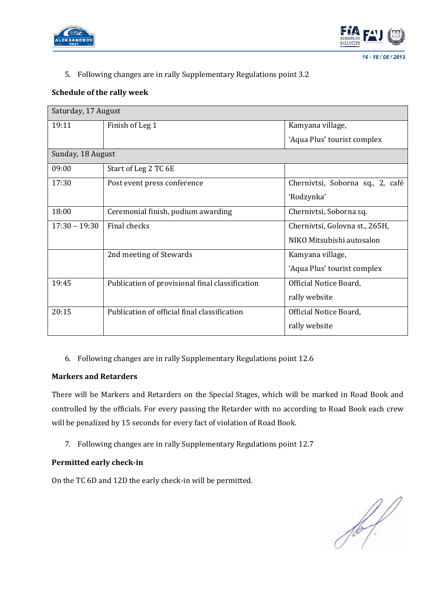



#### $16 - 18/08/2013$

# 5. Following changes are in rally Supplementary Regulations point 3.2

## **Schedule of the rally week**

| Saturday, 17 August |                                                 |                                  |  |  |  |
|---------------------|-------------------------------------------------|----------------------------------|--|--|--|
| 19:11               | Finish of Leg 1                                 | Kamyana village,                 |  |  |  |
|                     |                                                 | 'Aqua Plus' tourist complex      |  |  |  |
| Sunday, 18 August   |                                                 |                                  |  |  |  |
| 09:00               | Start of Leg 2 TC 6E                            |                                  |  |  |  |
| 17:30               | Post event press conference                     | Chernivtsi, Soborna sq., 2, café |  |  |  |
|                     |                                                 | 'Rodzynka'                       |  |  |  |
| 18:00               | Ceremonial finish, podium awarding              | Chernivtsi, Soborna sq.          |  |  |  |
| $17:30 - 19:30$     | Final checks                                    | Chernivtsi, Golovna st., 265H,   |  |  |  |
|                     |                                                 | NIKO Mitsubishi autosalon        |  |  |  |
|                     | 2nd meeting of Stewards                         | Kamyana village,                 |  |  |  |
|                     |                                                 | 'Aqua Plus' tourist complex      |  |  |  |
| 19:45               | Publication of provisional final classification | Official Notice Board,           |  |  |  |
|                     |                                                 | rally website                    |  |  |  |
| 20:15               | Publication of official final classification    | Official Notice Board,           |  |  |  |
|                     |                                                 | rally website                    |  |  |  |

## 6. Following changes are in rally Supplementary Regulations point 12.6

## **Markers and Retarders**

There will be Markers and Retarders on the Special Stages, which will be marked in Road Book and controlled by the officials. For every passing the Retarder with no according to Road Book each crew will be penalized by 15 seconds for every fact of violation of Road Book.

7. Following changes are in rally Supplementary Regulations point 12.7

#### **Permitted early check-in**

On the TC 6D and 12D the early check-in will be permitted.

 $\frac{1}{\sqrt{2}}\int d\mathbf{x}\sqrt{\frac{1}{2}}\left( \frac{1}{2}\right) \frac{d\mathbf{x}}{d\mathbf{x}}$